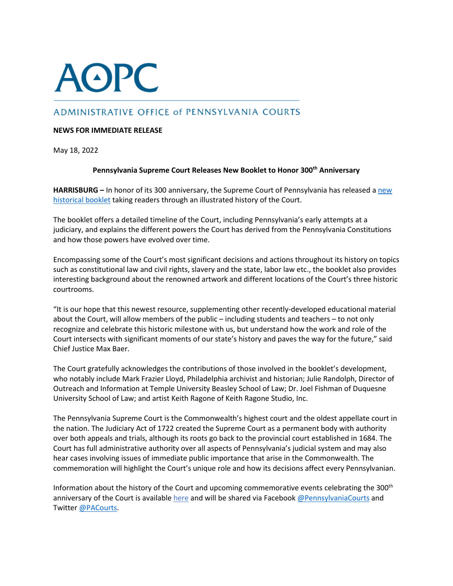## **AOPC**

## ADMINISTRATIVE OFFICE of PENNSYLVANIA COURTS

## **NEWS FOR IMMEDIATE RELEASE**

May 18, 2022

## **Pennsylvania Supreme Court Releases New Booklet to Honor 300th Anniversary**

**HARRISBURG –** In honor of its 300 anniversary, the Supreme Court of Pennsylvania has released a [new](https://www.pacourts.us/Storage/media/pdfs/20220509/143332-supreme300booklet_web.pdf) [historical](https://www.pacourts.us/Storage/media/pdfs/20220509/143332-supreme300booklet_web.pdf) booklet taking readers through an illustrated history of the Court.

The booklet offers a detailed timeline of the Court, including Pennsylvania's early attempts at a judiciary, and explains the different powers the Court has derived from the Pennsylvania Constitutions and how those powers have evolved over time.

Encompassing some of the Court's most significant decisions and actions throughout its history on topics such as constitutional law and civil rights, slavery and the state, labor law etc., the booklet also provides interesting background about the renowned artwork and different locations of the Court's three historic courtrooms.

"It is our hope that this newest resource, supplementing other recently-developed educational material about the Court, will allow members of the public – including students and teachers – to not only recognize and celebrate this historic milestone with us, but understand how the work and role of the Court intersects with significant moments of our state's history and paves the way for the future," said Chief Justice Max Baer.

The Court gratefully acknowledges the contributions of those involved in the booklet's development, who notably include Mark Frazier Lloyd, Philadelphia archivist and historian; Julie Randolph, Director of Outreach and Information at Temple University Beasley School of Law; Dr. Joel Fishman of Duquesne University School of Law; and artist Keith Ragone of Keith Ragone Studio, Inc.

The Pennsylvania Supreme Court is the Commonwealth's highest court and the oldest appellate court in the nation. The Judiciary Act of 1722 created the Supreme Court as a permanent body with authority over both appeals and trials, although its roots go back to the provincial court established in 1684. The Court has full administrative authority over all aspects of Pennsylvania's judicial system and may also hear cases involving issues of immediate public importance that arise in the Commonwealth. The commemoration will highlight the Court's unique role and how its decisions affect every Pennsylvanian.

Information about the history of the Court and upcoming commemorative events celebrating the 300<sup>th</sup> anniversary of the Court is availabl[e here](http://www.pacourts.us/learn/history/celebrating-300-years) and will be shared via Facebook [@PennsylvaniaCourts](https://www.facebook.com/pennsylvaniacourts/) and Twitter [@PACourts.](https://twitter.com/PACourts)